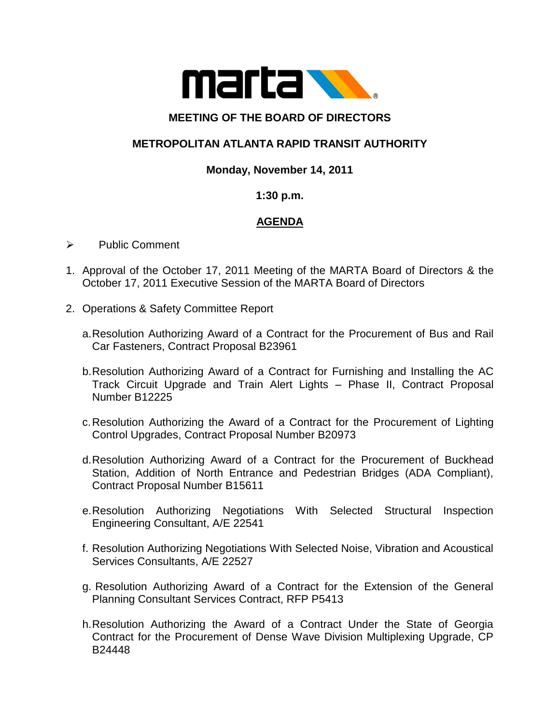

# **MEETING OF THE BOARD OF DIRECTORS**

# **METROPOLITAN ATLANTA RAPID TRANSIT AUTHORITY**

## **Monday, November 14, 2011**

### **1:30 p.m.**

# **AGENDA**

- Public Comment
- 1. Approval of the October 17, 2011 Meeting of the MARTA Board of Directors & the October 17, 2011 Executive Session of the MARTA Board of Directors
- 2. Operations & Safety Committee Report
	- a.Resolution Authorizing Award of a Contract for the Procurement of Bus and Rail Car Fasteners, Contract Proposal B23961
	- b.Resolution Authorizing Award of a Contract for Furnishing and Installing the AC Track Circuit Upgrade and Train Alert Lights – Phase II, Contract Proposal Number B12225
	- c.Resolution Authorizing the Award of a Contract for the Procurement of Lighting Control Upgrades, Contract Proposal Number B20973
	- d.Resolution Authorizing Award of a Contract for the Procurement of Buckhead Station, Addition of North Entrance and Pedestrian Bridges (ADA Compliant), Contract Proposal Number B15611
	- e.Resolution Authorizing Negotiations With Selected Structural Inspection Engineering Consultant, A/E 22541
	- f. Resolution Authorizing Negotiations With Selected Noise, Vibration and Acoustical Services Consultants, A/E 22527
	- g. Resolution Authorizing Award of a Contract for the Extension of the General Planning Consultant Services Contract, RFP P5413
	- h.Resolution Authorizing the Award of a Contract Under the State of Georgia Contract for the Procurement of Dense Wave Division Multiplexing Upgrade, CP B24448